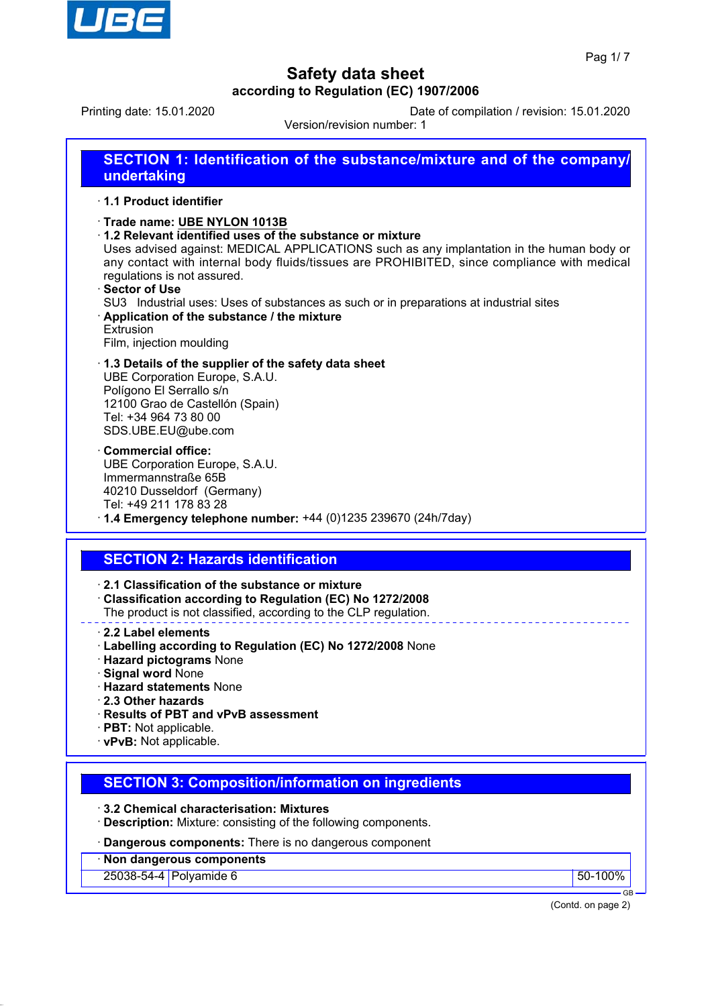

Printing date: 15.01.2020 Date of compilation / revision: 15.01.2020

Version/revision number: 1

| <b>SECTION 1: Identification of the substance/mixture and of the company/</b><br>undertaking                                                                                                                                                                                                                                                                                                                                                                                                                                       |
|------------------------------------------------------------------------------------------------------------------------------------------------------------------------------------------------------------------------------------------------------------------------------------------------------------------------------------------------------------------------------------------------------------------------------------------------------------------------------------------------------------------------------------|
| · 1.1 Product identifier                                                                                                                                                                                                                                                                                                                                                                                                                                                                                                           |
| Trade name: UBE NYLON 1013B<br>1.2 Relevant identified uses of the substance or mixture<br>Uses advised against: MEDICAL APPLICATIONS such as any implantation in the human body or<br>any contact with internal body fluids/tissues are PROHIBITED, since compliance with medical<br>regulations is not assured.<br><b>⋅Sector of Use</b><br>SU3 Industrial uses: Uses of substances as such or in preparations at industrial sites<br>Application of the substance / the mixture<br><b>Extrusion</b><br>Film, injection moulding |
| 1.3 Details of the supplier of the safety data sheet<br>UBE Corporation Europe, S.A.U.<br>Polígono El Serrallo s/n<br>12100 Grao de Castellón (Spain)<br>Tel: +34 964 73 80 00<br>SDS.UBE.EU@ube.com                                                                                                                                                                                                                                                                                                                               |
| <b>Commercial office:</b><br>UBE Corporation Europe, S.A.U.<br>Immermannstraße 65B<br>40210 Dusseldorf (Germany)<br>Tel: +49 211 178 83 28<br>$\cdot$ 1.4 Emergency telephone number: +44 (0)1235 239670 (24h/7day)                                                                                                                                                                                                                                                                                                                |
|                                                                                                                                                                                                                                                                                                                                                                                                                                                                                                                                    |
|                                                                                                                                                                                                                                                                                                                                                                                                                                                                                                                                    |
| <b>SECTION 2: Hazards identification</b>                                                                                                                                                                                                                                                                                                                                                                                                                                                                                           |
| 2.1 Classification of the substance or mixture<br>Classification according to Regulation (EC) No 1272/2008<br>The product is not classified, according to the CLP regulation.                                                                                                                                                                                                                                                                                                                                                      |
| 2.2 Label elements<br>· Labelling according to Regulation (EC) No 1272/2008 None<br>· Hazard pictograms None<br><b>Signal word None</b><br><b>Hazard statements None</b><br>2.3 Other hazards<br>· Results of PBT and vPvB assessment<br>· PBT: Not applicable.<br>· vPvB: Not applicable.                                                                                                                                                                                                                                         |
|                                                                                                                                                                                                                                                                                                                                                                                                                                                                                                                                    |
| <b>SECTION 3: Composition/information on ingredients</b>                                                                                                                                                                                                                                                                                                                                                                                                                                                                           |
| 3.2 Chemical characterisation: Mixtures<br>· Description: Mixture: consisting of the following components.                                                                                                                                                                                                                                                                                                                                                                                                                         |
| · Dangerous components: There is no dangerous component                                                                                                                                                                                                                                                                                                                                                                                                                                                                            |
| Non dangerous components<br>25038-54-4 Polyamide 6<br>50-100%                                                                                                                                                                                                                                                                                                                                                                                                                                                                      |

(Contd. on page 2)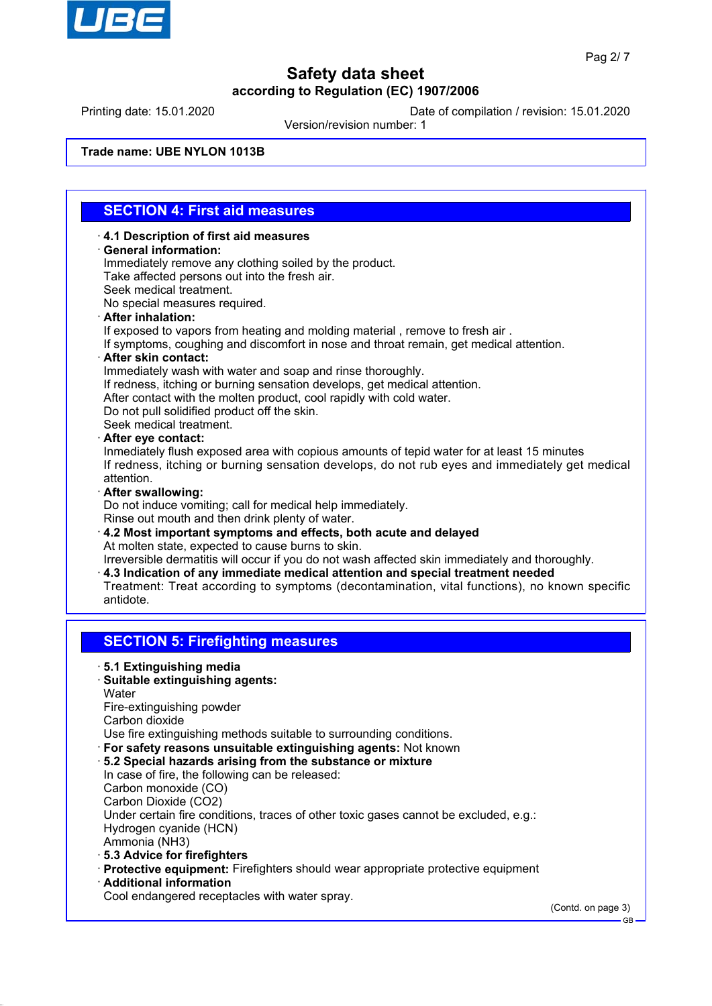

Printing date: 15.01.2020 Date of compilation / revision: 15.01.2020

Version/revision number: 1

**Trade name: UBE NYLON 1013B**

## **SECTION 4: First aid measures**

- ꞏ **4.1 Description of first aid measures** ꞏ **General information:** Immediately remove any clothing soiled by the product. Take affected persons out into the fresh air. Seek medical treatment. No special measures required. ꞏ **After inhalation:** If exposed to vapors from heating and molding material , remove to fresh air . If symptoms, coughing and discomfort in nose and throat remain, get medical attention.
- ꞏ **After skin contact:**
- Immediately wash with water and soap and rinse thoroughly.
- If redness, itching or burning sensation develops, get medical attention.
- After contact with the molten product, cool rapidly with cold water.
- Do not pull solidified product off the skin.

Seek medical treatment.

ꞏ **After eye contact:**

Inmediately flush exposed area with copious amounts of tepid water for at least 15 minutes If redness, itching or burning sensation develops, do not rub eyes and immediately get medical attention.

ꞏ **After swallowing:**

Do not induce vomiting; call for medical help immediately. Rinse out mouth and then drink plenty of water.

ꞏ **4.2 Most important symptoms and effects, both acute and delayed** At molten state, expected to cause burns to skin.

Irreversible dermatitis will occur if you do not wash affected skin immediately and thoroughly.

- ꞏ **4.3 Indication of any immediate medical attention and special treatment needed**
- Treatment: Treat according to symptoms (decontamination, vital functions), no known specific antidote.

### **SECTION 5: Firefighting measures**

### ꞏ **5.1 Extinguishing media**

ꞏ **Suitable extinguishing agents:**

**Water** 

Fire-extinguishing powder

Carbon dioxide

- Use fire extinguishing methods suitable to surrounding conditions.
- ꞏ **For safety reasons unsuitable extinguishing agents:** Not known
- ꞏ **5.2 Special hazards arising from the substance or mixture** In case of fire, the following can be released: Carbon monoxide (CO) Carbon Dioxide (CO2) Under certain fire conditions, traces of other toxic gases cannot be excluded, e.g.: Hydrogen cyanide (HCN) Ammonia (NH3)
- ꞏ **5.3 Advice for firefighters**
- ꞏ **Protective equipment:** Firefighters should wear appropriate protective equipment
- ꞏ **Additional information**

Cool endangered receptacles with water spray.

(Contd. on page 3)

GB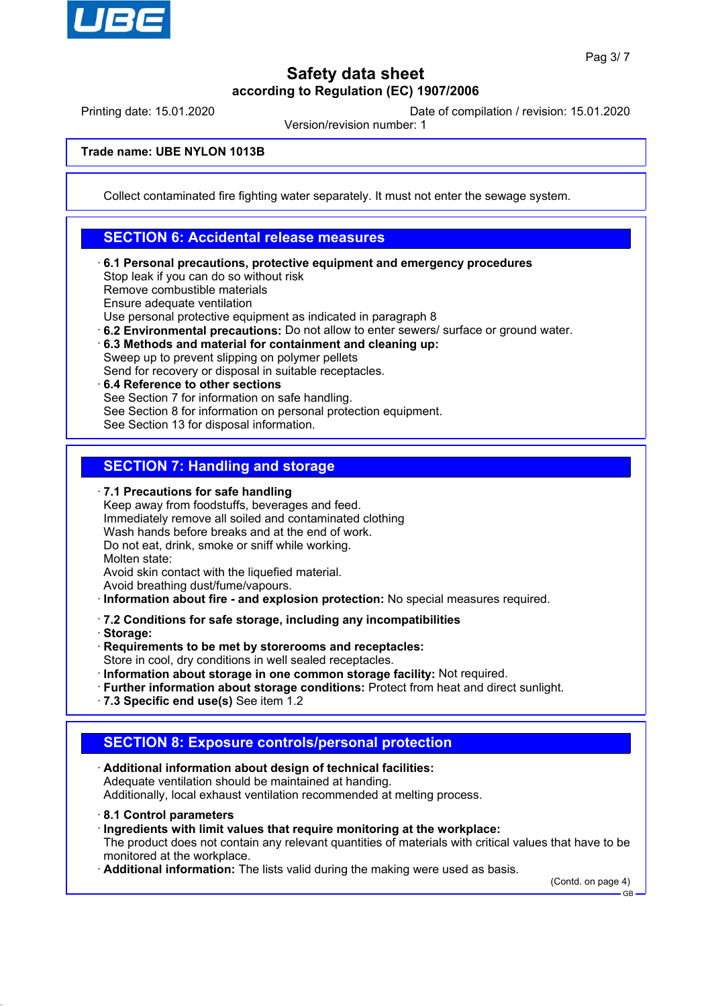

Printing date: 15.01.2020 Date of compilation / revision: 15.01.2020

Version/revision number: 1

**Trade name: UBE NYLON 1013B**

Collect contaminated fire fighting water separately. It must not enter the sewage system.

### **SECTION 6: Accidental release measures**

ꞏ **6.1 Personal precautions, protective equipment and emergency procedures** Stop leak if you can do so without risk Remove combustible materials Ensure adequate ventilation Use personal protective equipment as indicated in paragraph 8

ꞏ **6.2 Environmental precautions:** Do not allow to enter sewers/ surface or ground water.

ꞏ **6.3 Methods and material for containment and cleaning up:**

Sweep up to prevent slipping on polymer pellets Send for recovery or disposal in suitable receptacles.

ꞏ **6.4 Reference to other sections**

See Section 7 for information on safe handling.

See Section 8 for information on personal protection equipment.

See Section 13 for disposal information.

## **SECTION 7: Handling and storage**

### ꞏ **7.1 Precautions for safe handling**

Keep away from foodstuffs, beverages and feed. Immediately remove all soiled and contaminated clothing Wash hands before breaks and at the end of work. Do not eat, drink, smoke or sniff while working. Molten state:

Avoid skin contact with the liquefied material.

Avoid breathing dust/fume/vapours.

ꞏ **Information about fire - and explosion protection:** No special measures required.

### ꞏ **7.2 Conditions for safe storage, including any incompatibilities**

ꞏ **Storage:**

ꞏ **Requirements to be met by storerooms and receptacles:**

Store in cool, dry conditions in well sealed receptacles.

- ꞏ **Information about storage in one common storage facility:** Not required.
- ꞏ **Further information about storage conditions:** Protect from heat and direct sunlight.
- ꞏ **7.3 Specific end use(s)** See item 1.2

### **SECTION 8: Exposure controls/personal protection**

- ꞏ **Additional information about design of technical facilities:** Adequate ventilation should be maintained at handing. Additionally, local exhaust ventilation recommended at melting process.
- ꞏ **8.1 Control parameters**
- ꞏ **Ingredients with limit values that require monitoring at the workplace:**

The product does not contain any relevant quantities of materials with critical values that have to be monitored at the workplace.

ꞏ **Additional information:** The lists valid during the making were used as basis.

(Contd. on page 4) GB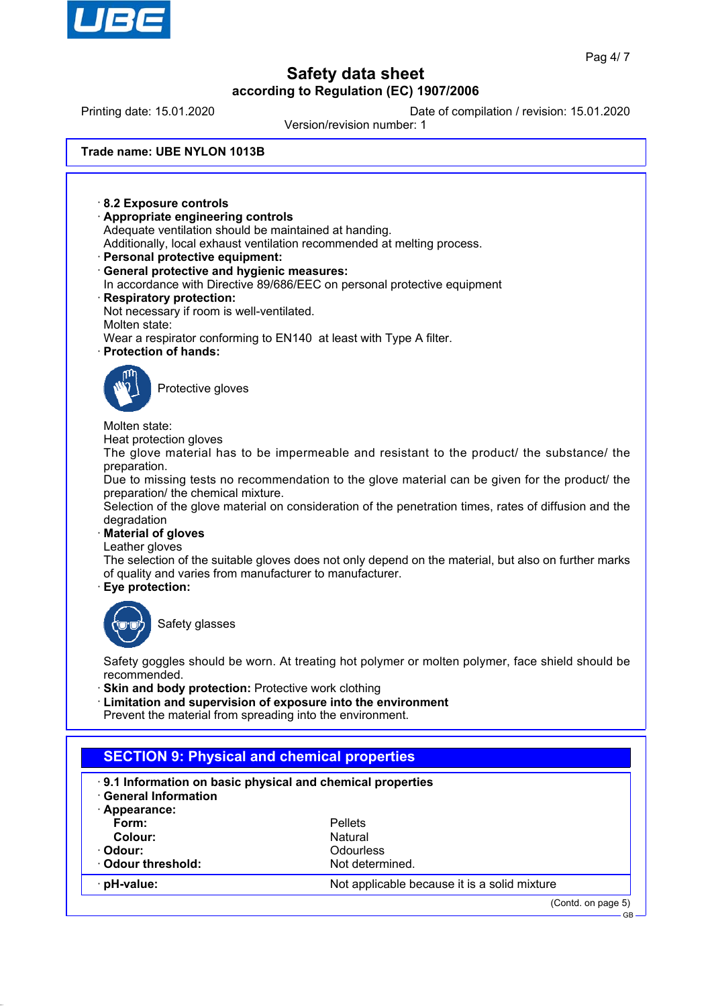

Printing date: 15.01.2020 Date of compilation / revision: 15.01.2020

Version/revision number: 1

**Trade name: UBE NYLON 1013B**

ꞏ **8.2 Exposure controls** ꞏ **Appropriate engineering controls** Adequate ventilation should be maintained at handing. Additionally, local exhaust ventilation recommended at melting process. ꞏ **Personal protective equipment:** ꞏ **General protective and hygienic measures:** In accordance with Directive 89/686/EEC on personal protective equipment ꞏ **Respiratory protection:** Not necessary if room is well-ventilated. Molten state: Wear a respirator conforming to EN140 at least with Type A filter. ꞏ **Protection of hands:** Protective gloves Molten state: Heat protection gloves The glove material has to be impermeable and resistant to the product/ the substance/ the preparation. Due to missing tests no recommendation to the glove material can be given for the product/ the preparation/ the chemical mixture. Selection of the glove material on consideration of the penetration times, rates of diffusion and the degradation ꞏ **Material of gloves** Leather gloves The selection of the suitable gloves does not only depend on the material, but also on further marks of quality and varies from manufacturer to manufacturer. ꞏ **Eye protection:** Safety glasses Safety goggles should be worn. At treating hot polymer or molten polymer, face shield should be recommended. **Skin and body protection: Protective work clothing** ꞏ **Limitation and supervision of exposure into the environment** Prevent the material from spreading into the environment. **SECTION 9: Physical and chemical properties** ꞏ **9.1 Information on basic physical and chemical properties** ꞏ **General Information** ꞏ **Appearance: Form:** Pellets **Colour:** Natural **Odour:** Odourless **Odour threshold:** Not determined.

**pH-value:**  $\blacksquare$  Not applicable because it is a solid mixture

GB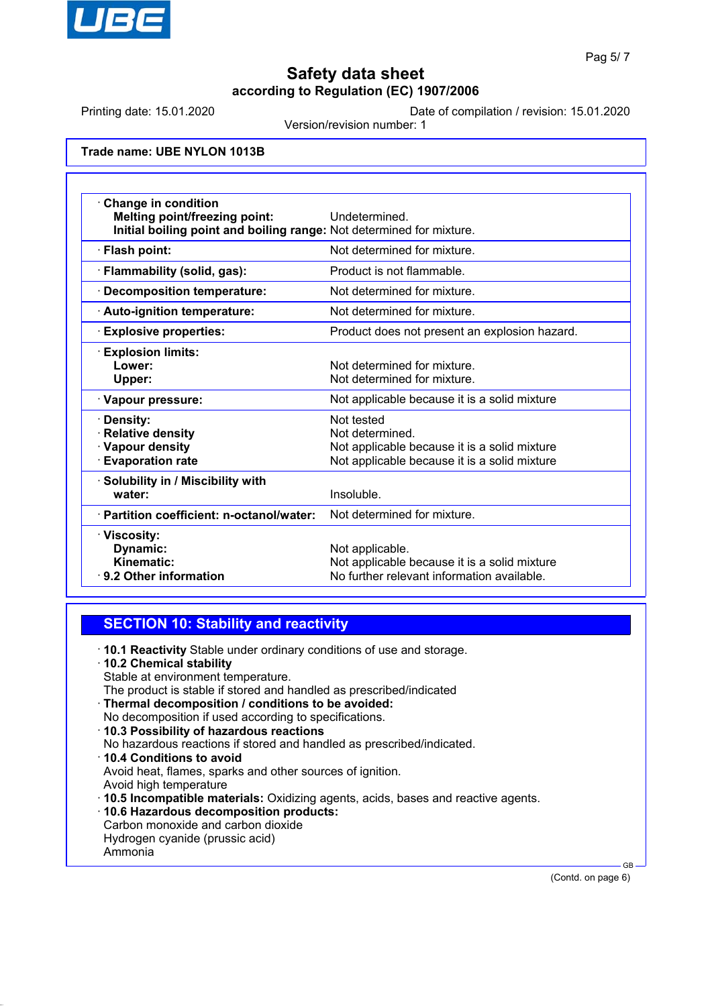

Printing date: 15.01.2020 Date of compilation / revision: 15.01.2020

Version/revision number: 1

**Trade name: UBE NYLON 1013B**

| <b>Change in condition</b><br><b>Melting point/freezing point:</b><br>Initial boiling point and boiling range: Not determined for mixture. | Undetermined.                                                                                                                 |
|--------------------------------------------------------------------------------------------------------------------------------------------|-------------------------------------------------------------------------------------------------------------------------------|
| · Flash point:                                                                                                                             | Not determined for mixture.                                                                                                   |
| · Flammability (solid, gas):                                                                                                               | Product is not flammable.                                                                                                     |
| · Decomposition temperature:                                                                                                               | Not determined for mixture.                                                                                                   |
| · Auto-ignition temperature:                                                                                                               | Not determined for mixture.                                                                                                   |
| <b>Explosive properties:</b>                                                                                                               | Product does not present an explosion hazard.                                                                                 |
| <b>Explosion limits:</b><br>Lower:<br>Upper:                                                                                               | Not determined for mixture.<br>Not determined for mixture.                                                                    |
| · Vapour pressure:                                                                                                                         | Not applicable because it is a solid mixture                                                                                  |
| · Density:<br>· Relative density<br>· Vapour density<br><b>Evaporation rate</b>                                                            | Not tested<br>Not determined.<br>Not applicable because it is a solid mixture<br>Not applicable because it is a solid mixture |
| · Solubility in / Miscibility with<br>water:                                                                                               | Insoluble.                                                                                                                    |
| · Partition coefficient: n-octanol/water:                                                                                                  | Not determined for mixture.                                                                                                   |
| · Viscosity:<br>Dynamic:<br>Kinematic:<br>⋅ 9.2 Other information                                                                          | Not applicable.<br>Not applicable because it is a solid mixture<br>No further relevant information available.                 |

### **SECTION 10: Stability and reactivity**

- ꞏ **10.1 Reactivity** Stable under ordinary conditions of use and storage.
- ꞏ **10.2 Chemical stability**
- Stable at environment temperature.
- The product is stable if stored and handled as prescribed/indicated
- ꞏ **Thermal decomposition / conditions to be avoided:**
- No decomposition if used according to specifications.
- ꞏ **10.3 Possibility of hazardous reactions**
- No hazardous reactions if stored and handled as prescribed/indicated.
- ꞏ **10.4 Conditions to avoid**
- Avoid heat, flames, sparks and other sources of ignition. Avoid high temperature
- ꞏ **10.5 Incompatible materials:** Oxidizing agents, acids, bases and reactive agents.
- ꞏ **10.6 Hazardous decomposition products:**
- Carbon monoxide and carbon dioxide
- Hydrogen cyanide (prussic acid)
- Ammonia

(Contd. on page 6)

GB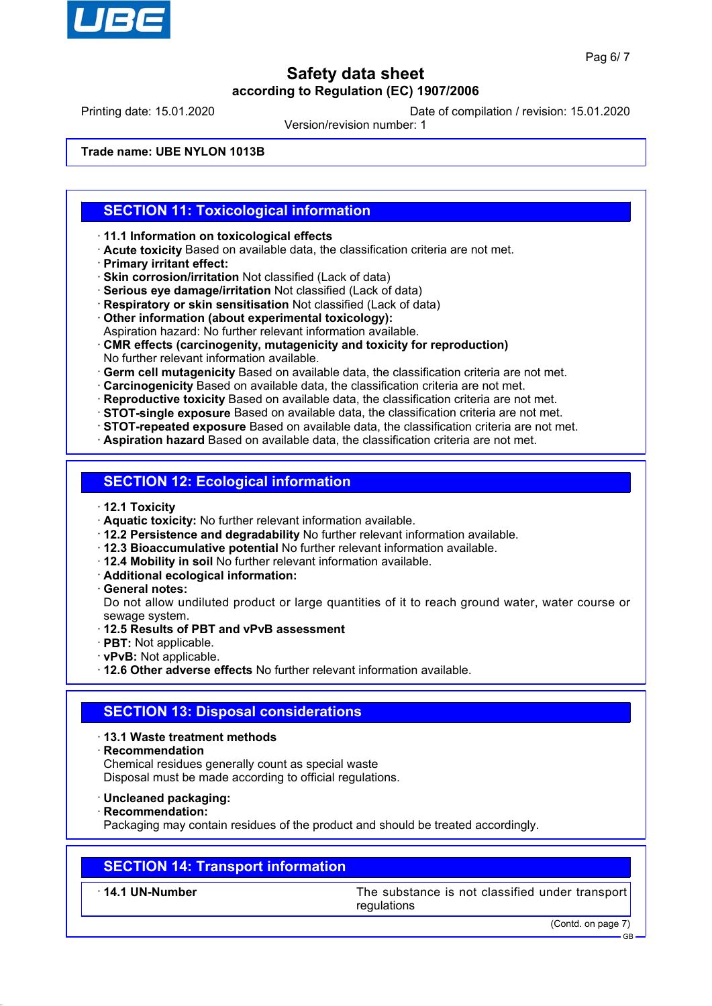

Printing date: 15.01.2020 Date of compilation / revision: 15.01.2020

Version/revision number: 1

**Trade name: UBE NYLON 1013B**

### **SECTION 11: Toxicological information**

ꞏ **11.1 Information on toxicological effects**

- ꞏ **Acute toxicity** Based on available data, the classification criteria are not met.
- ꞏ **Primary irritant effect:**
- ꞏ **Skin corrosion/irritation** Not classified (Lack of data)
- ꞏ **Serious eye damage/irritation** Not classified (Lack of data)
- ꞏ **Respiratory or skin sensitisation** Not classified (Lack of data)
- ꞏ **Other information (about experimental toxicology):**
- Aspiration hazard: No further relevant information available.
- ꞏ **CMR effects (carcinogenity, mutagenicity and toxicity for reproduction)** No further relevant information available.
- ꞏ **Germ cell mutagenicity** Based on available data, the classification criteria are not met.
- ꞏ **Carcinogenicity** Based on available data, the classification criteria are not met.

ꞏ **Reproductive toxicity** Based on available data, the classification criteria are not met.

- ꞏ **STOT-single exposure** Based on available data, the classification criteria are not met.
- ꞏ **STOT-repeated exposure** Based on available data, the classification criteria are not met.
- ꞏ **Aspiration hazard** Based on available data, the classification criteria are not met.

### **SECTION 12: Ecological information**

- ꞏ **12.1 Toxicity**
- ꞏ **Aquatic toxicity:** No further relevant information available.
- ꞏ **12.2 Persistence and degradability** No further relevant information available.
- ꞏ **12.3 Bioaccumulative potential** No further relevant information available.
- ꞏ **12.4 Mobility in soil** No further relevant information available.
- ꞏ **Additional ecological information:**
- ꞏ **General notes:**

Do not allow undiluted product or large quantities of it to reach ground water, water course or sewage system.

- ꞏ **12.5 Results of PBT and vPvB assessment**
- ꞏ **PBT:** Not applicable.
- ꞏ **vPvB:** Not applicable.

ꞏ **12.6 Other adverse effects** No further relevant information available.

### **SECTION 13: Disposal considerations**

- ꞏ **13.1 Waste treatment methods**
- ꞏ **Recommendation**

Chemical residues generally count as special waste Disposal must be made according to official regulations.

- ꞏ **Uncleaned packaging:**
- ꞏ **Recommendation:**

Packaging may contain residues of the product and should be treated accordingly.

### **SECTION 14: Transport information**

ꞏ **14.1 UN-Number** The substance is not classified under transport regulations

(Contd. on page 7)

GB